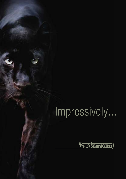

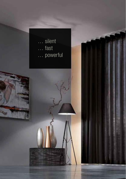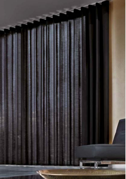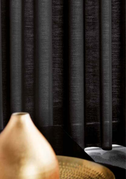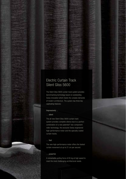

The Silent Gliss 5600 curtain track system provides benchmarking technology based on outstanding Swiss innovation which meets the complex demands of modern architecture. The system has three key captivating features:

#### Impressively ...

#### … silent

The all new Silent Gliss 5600 curtain track system provides complete silence due to a perfect combination of a new patented\* two-component roller technology, the exclusive Swiss engineered high-performance motor and the specially coated curtain tracks.

#### … fast

The new high-performance motor offers the fastest curtain movement at up to 21 cm per second.

#### … powerful

A remarkable pulling force of 65 kg at high speed to meet the most challenging architectural needs.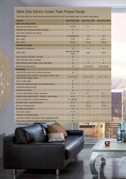# Silent Gliss Electric Curtain Track Product Range

Silent Gliss offers the most technically advanced electric curtain track range to meet all possible requirements.

| <b>Features</b>                                                                             | Silent Gliss 5600                             | Silent Gliss 5300                             | Silent Gliss 5800                 |
|---------------------------------------------------------------------------------------------|-----------------------------------------------|-----------------------------------------------|-----------------------------------|
| Silent, fast and powerful                                                                   |                                               |                                               |                                   |
| Noiseless technology system                                                                 | *****                                         | $***$                                         | $\star$                           |
| Patented* two-component roller technology                                                   |                                               |                                               |                                   |
| Silent Gliss exclusive wax coating                                                          |                                               |                                               |                                   |
| Speed cm/sec                                                                                | 21 (optional 15)                              | 30                                            | 20                                |
| Max. length                                                                                 | 15 <sub>m</sub>                               | 25 <sub>m</sub>                               | 60 m                              |
| Max. weight                                                                                 | 65 kg                                         | 74 kg                                         | 280 kg                            |
| <b>Usability and Design</b>                                                                 |                                               |                                               |                                   |
| Designed in Switzerland                                                                     |                                               | $\bullet$                                     | $\bullet$                         |
| Motor colour                                                                                | Aluminium silk-matt/<br>white                 | grey                                          | silver                            |
| Touch and Go / soft start / soft stop                                                       |                                               |                                               |                                   |
| Silent Gliss Move App compatible                                                            |                                               | $\bullet$                                     | $\bullet$                         |
| Radio Remote Control System Silent Gliss 9940                                               | $\bullet$                                     |                                               |                                   |
| <b>Bidirectional radio system</b>                                                           |                                               | only external                                 | only external                     |
| <b>Technology</b>                                                                           |                                               |                                               |                                   |
| High-end DC motor with brushless technology                                                 |                                               |                                               |                                   |
| Control option 100-250 VAC / low voltage contact / radio /<br>radio and low voltage contact | $\bullet$ / $\bullet$ / $\bullet$ / $\bullet$ | $\bullet$ / $\bullet$ / $\bullet$ / $\bullet$ | $\bullet$ / $-$ / $\bullet$ / $-$ |
| Plug-in motor cable                                                                         |                                               |                                               |                                   |
| Permanent positioning sensor (even without power)                                           |                                               |                                               |                                   |
| Integrated manual override                                                                  |                                               |                                               |                                   |
| Electronic end limits                                                                       | $\bullet$                                     | $\bullet$                                     |                                   |
| Easy end stop setting manual / automatic                                                    | $\bullet$ / $\bullet$                         | $\bullet$ / $-$                               | $\bullet$ / $-$                   |
| Multiple motor positioning (90° rotatable / upside down)                                    | $\bullet$ / $\bullet$                         | $-$ / $\bullet$                               | $-/-$                             |
| Internal transformer / external transformer                                                 | • / optional                                  |                                               |                                   |
| Bendable track / symmetrical track                                                          | $\bullet$ / $\bullet$                         | $\bullet$ / $-$                               | $\bullet$ / $-$                   |
| Minimum bending radius                                                                      | 25 cm                                         | 50 cm                                         | 50 cm                             |
| Bendable recess option                                                                      |                                               |                                               |                                   |
| Wave roller / glider                                                                        | $\bullet$ / $\bullet$                         | 18 B                                          |                                   |
| Patented* connecting bridge                                                                 | $\bullet$                                     |                                               |                                   |
| Integrated modular radio system (later upgrade possible)                                    |                                               |                                               |                                   |
| Fixing option without brackets (screw through profile)                                      | $\bullet$                                     |                                               |                                   |
| * Patent pending                                                                            | a.                                            |                                               |                                   |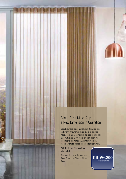## Silent Gliss Move App – a New Dimension in Operation

Operate curtains, blinds and other electric Silent Gliss systems from your smartphone, tablet or desktop. Whether you are at home or on the road, this reliable and intuitive app allows you to program automatic opening and closing times. Alternatively, you can choose automatic sunrise and sunset programming.

With Silent Gliss Move you have total control!

Download the app in the Apple App Store, Google Play Store or Windows Store.